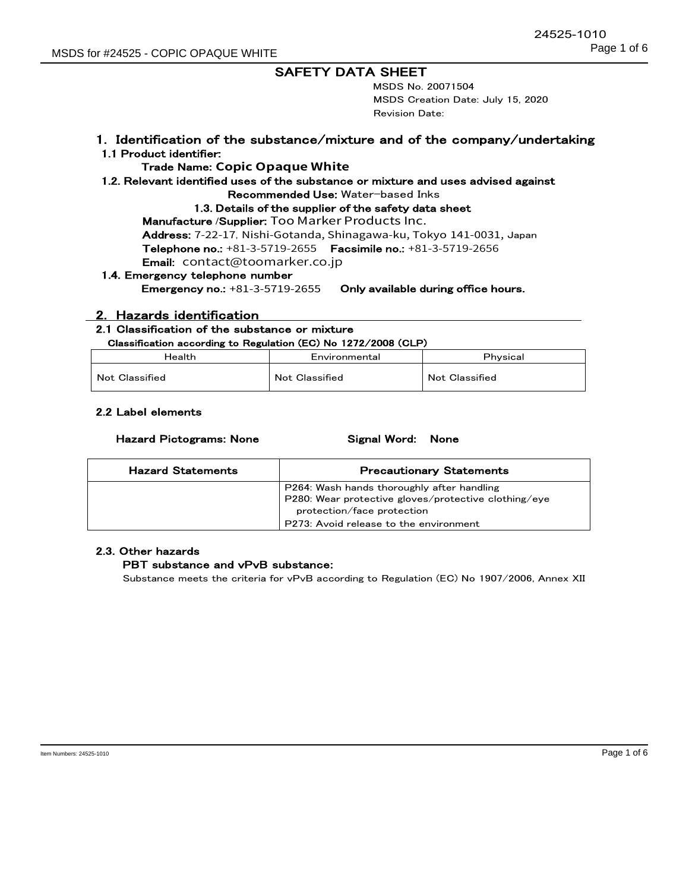24525-1010

MSDS No. 20071504 MSDS Creation Date: July 15, 2020 Revision Date:

#### 1. Identification of the substance/mixture and of the company/undertaking 1.1 Product identifier:

### Trade Name: **Copic Opaque White**

#### 1.2. Relevant identified uses of the substance or mixture and uses advised against

Recommended Use: Water-based Inks

#### 1.3. Details of the supplier of the safety data sheet

Manufacture /Supplier: Too Marker Products Inc.

Address: 7-22-17, Nishi-Gotanda, Shinagawa-ku, Tokyo 141-0031, Japan Telephone no.: +81-3-5719-2655 Facsimile no.: +81-3-5719-2656

Email: contact@toomarker.co.jp

## 1.4. Emergency telephone number

Emergency no.: +81-3-5719-2655 Only available during office hours.

### 2. Hazards identification

### 2.1 Classification of the substance or mixture

#### Classification according to Regulation (EC) No 1272/2008 (CLP)

| Health         | Environmental         | Physical       |
|----------------|-----------------------|----------------|
| Not Classified | <b>Not Classified</b> | Not Classified |

#### 2.2 Label elements

#### Hazard Pictograms: None Signal Word: None

| <b>Hazard Statements</b> | <b>Precautionary Statements</b>                      |
|--------------------------|------------------------------------------------------|
|                          | P264: Wash hands thoroughly after handling           |
|                          | P280: Wear protective gloves/protective clothing/eye |
|                          | protection/face protection                           |
|                          | P273: Avoid release to the environment               |

## 2.3. Other hazards

### PBT substance and vPvB substance:

Substance meets the criteria for vPvB according to Regulation (EC) No 1907/2006, Annex XII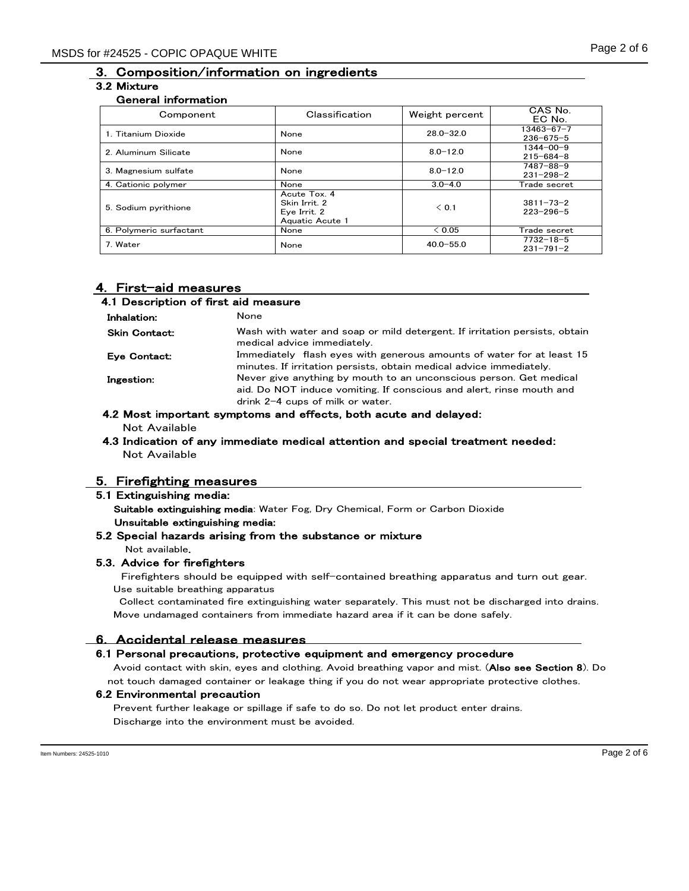# 3. Composition/information on ingredients

## 3.2 Mixture

# General information

| Component               | Classification                                                   | Weight percent | CAS No.<br>EC No.                   |
|-------------------------|------------------------------------------------------------------|----------------|-------------------------------------|
| 1. Titanium Dioxide     | None                                                             | $28.0 - 32.0$  | $13463 - 67 - 7$<br>$236 - 675 - 5$ |
| 2. Aluminum Silicate    | None                                                             | $8.0 - 12.0$   | $1344 - 00 - 9$<br>$215 - 684 - 8$  |
| 3. Magnesium sulfate    | None                                                             | $8.0 - 12.0$   | $7487 - 88 - 9$<br>$231 - 298 - 2$  |
| 4. Cationic polymer     | None                                                             | $3.0 - 4.0$    | Trade secret                        |
| 5. Sodium pyrithione    | Acute Tox. 4<br>Skin Irrit. 2<br>Eye Irrit. 2<br>Aquatic Acute 1 | < 0.1          | $3811 - 73 - 2$<br>$223 - 296 - 5$  |
| 6. Polymeric surfactant | None                                                             | < 0.05         | Trade secret                        |
| 7. Water                | None                                                             | $40.0 - 55.0$  | $7732 - 18 - 5$<br>$231 - 791 - 2$  |

## 4. First-aid measures

| 4.1 Description of first aid measure |                                                                                                                                                                                  |  |
|--------------------------------------|----------------------------------------------------------------------------------------------------------------------------------------------------------------------------------|--|
| Inhalation:                          | None                                                                                                                                                                             |  |
| <b>Skin Contact:</b>                 | Wash with water and soap or mild detergent. If irritation persists, obtain<br>medical advice immediately.                                                                        |  |
| Eye Contact:                         | Immediately flash eyes with generous amounts of water for at least 15<br>minutes. If irritation persists, obtain medical advice immediately.                                     |  |
| Ingestion:                           | Never give anything by mouth to an unconscious person. Get medical<br>aid. Do NOT induce vomiting. If conscious and alert, rinse mouth and<br>drink $2-4$ cups of milk or water. |  |

#### 4.2 Most important symptoms and effects, both acute and delayed: Not Available

#### 4.3 Indication of any immediate medical attention and special treatment needed: Not Available

## 5. Firefighting measures

#### 5.1 Extinguishing media:

Suitable extinguishing media: Water Fog, Dry Chemical, Form or Carbon Dioxide Unsuitable extinguishing media:

### 5.2 Special hazards arising from the substance or mixture

Not available.

### 5.3. Advice for firefighters

Firefighters should be equipped with self-contained breathing apparatus and turn out gear. Use suitable breathing apparatus

Collect contaminated fire extinguishing water separately. This must not be discharged into drains. Move undamaged containers from immediate hazard area if it can be done safely.

## 6. Accidental release measures

### 6.1 Personal precautions, protective equipment and emergency procedure

Avoid contact with skin, eyes and clothing. Avoid breathing vapor and mist. (Also see Section 8). Do not touch damaged container or leakage thing if you do not wear appropriate protective clothes.

### 6.2 Environmental precaution

Prevent further leakage or spillage if safe to do so. Do not let product enter drains. Discharge into the environment must be avoided.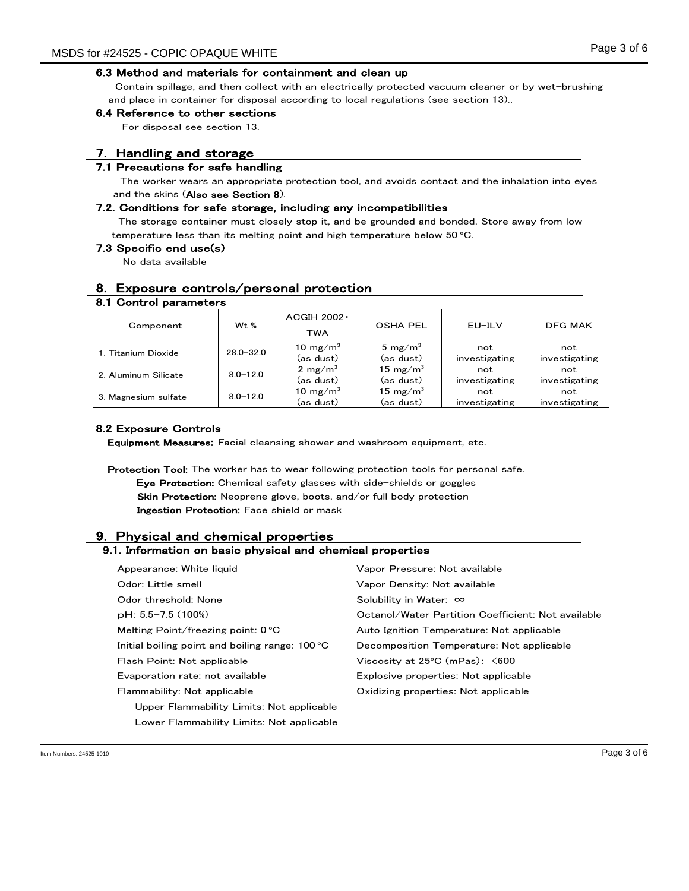#### 6.3 Method and materials for containment and clean up

 Contain spillage, and then collect with an electrically protected vacuum cleaner or by wet-brushing and place in container for disposal according to local regulations (see section 13)..

#### 6.4 Reference to other sections

For disposal see section 13.

## 7. Handling and storage

#### 7.1 Precautions for safe handling

 The worker wears an appropriate protection tool, and avoids contact and the inhalation into eyes and the skins (Also see Section 8).

#### 7.2. Conditions for safe storage, including any incompatibilities

The storage container must closely stop it, and be grounded and bonded. Store away from low temperature less than its melting point and high temperature below  $50^{\circ}$ C.

#### 7.3 Specific end use(s)

8.1 Control parameters

No data available

## 8. Exposure controls/personal protection

|              | $ACGIH 2002 -$                                      | <b>OSHA PEL</b>     | EU-ILV        | <b>DFG MAK</b> |
|--------------|-----------------------------------------------------|---------------------|---------------|----------------|
|              | TWA                                                 |                     |               |                |
|              | 10 mg/m $^3$                                        | 5 mg/m <sup>3</sup> | not           | not            |
|              | (as dust)                                           | (as dust)           | investigating | investigating  |
|              | 2 mg/m <sup>3</sup>                                 | 15 mg/m $^3$        | not           | not            |
|              | (as dust)                                           | (as dust)           | investigating | investigating  |
| $8.0 - 12.0$ | 10 mg/m $^3$                                        | 15 mg/m $^3$        | not           | not            |
|              | (as dust)                                           | (as dust)           | investigating | investigating  |
|              | W <sub>t</sub> $%$<br>$28.0 - 32.0$<br>$8.0 - 12.0$ |                     |               |                |

#### 8.2 Exposure Controls

Equipment Measures: Facial cleansing shower and washroom equipment, etc.

Protection Tool: The worker has to wear following protection tools for personal safe. Eye Protection: Chemical safety glasses with side-shields or goggles Skin Protection: Neoprene glove, boots, and/or full body protection Ingestion Protection: Face shield or mask

## 9. Physical and chemical properties

## 9.1. Information on basic physical and chemical properties

| Appearance: White liquid                                 | Vapor Pressure: Not available                      |
|----------------------------------------------------------|----------------------------------------------------|
| Odor: Little smell                                       | Vapor Density: Not available                       |
| Odor threshold: None                                     | Solubility in Water: $\infty$                      |
| $pH: 5.5-7.5(100%)$                                      | Octanol/Water Partition Coefficient: Not available |
| Melting Point/freezing point: $0^{\circ}$ C              | Auto Ignition Temperature: Not applicable          |
| Initial boiling point and boiling range: $100^{\circ}$ C | Decomposition Temperature: Not applicable          |
| Flash Point: Not applicable                              | Viscosity at $25^{\circ}$ C (mPas): $\leq 600$     |
| Evaporation rate: not available                          | Explosive properties: Not applicable               |
| Flammability: Not applicable                             | Oxidizing properties: Not applicable               |
| Upper Flammability Limits: Not applicable                |                                                    |
| Lower Flammability Limits: Not applicable                |                                                    |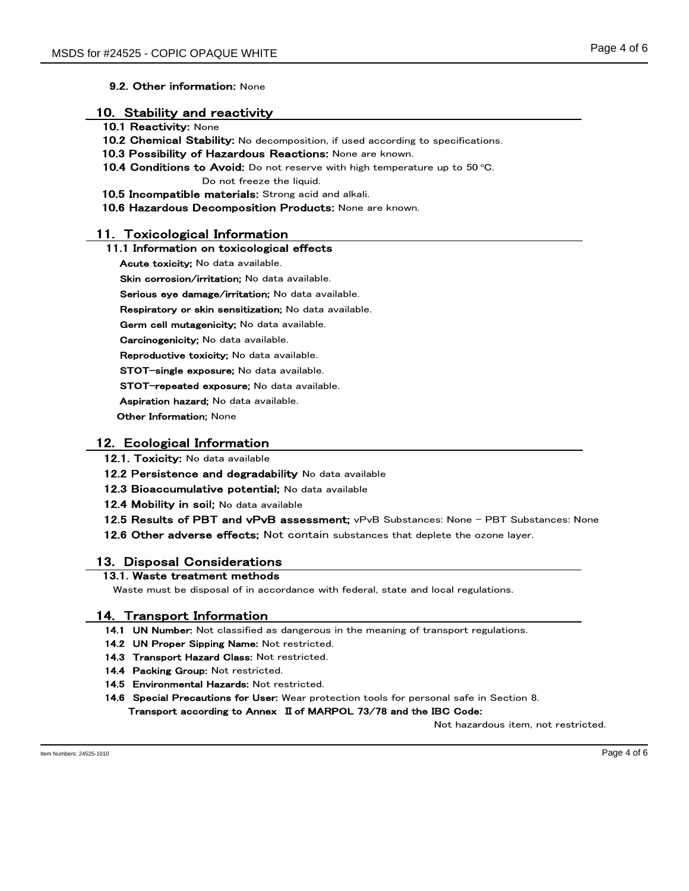#### 9.2. Other information: None

#### 10. Stability and reactivity

- 10.1 Reactivity: None
- 10.2 Chemical Stability: No decomposition, if used according to specifications.
- 10.3 Possibility of Hazardous Reactions: None are known.
- 10.4 Conditions to Avoid: Do not reserve with high temperature up to  $50^{\circ}$ C.

Do not freeze the liquid.

- 10.5 Incompatible materials: Strong acid and alkali.
- 10.6 Hazardous Decomposition Products: None are known.

## 11. Toxicological Information

#### 11.1 Information on toxicological effects

Acute toxicity; No data available.

Skin corrosion/irritation; No data available.

Serious eye damage/irritation; No data available.

Respiratory or skin sensitization; No data available.

Germ cell mutagenicity; No data available.

Carcinogenicity; No data available.

Reproductive toxicity; No data available.

STOT-single exposure; No data available.

STOT-repeated exposure; No data available.

Aspiration hazard; No data available.

**Other Information**; None

#### 12. Ecological Information

12.1. Toxicity: No data available

12.2 Persistence and degradability No data available

12.3 Bioaccumulative potential; No data available

12.4 Mobility in soil; No data available

12.5 Results of PBT and vPvB assessment; vPvB Substances: None - PBT Substances: None

12.6 Other adverse effects: Not contain substances that deplete the ozone layer.

## 13. Disposal Considerations

## 13.1. Waste treatment methods

Waste must be disposal of in accordance with federal, state and local regulations.

### 14. Transport Information

14.1 UN Number: Not classified as dangerous in the meaning of transport regulations.

- 14.2 UN Proper Sipping Name: Not restricted.
- 14.3 Transport Hazard Class: Not restricted.
- 14.4 Packing Group: Not restricted.
- 14.5 Environmental Hazards: Not restricted.
- 14.6 Special Precautions for User: Wear protection tools for personal safe in Section 8. Transport according to Annex II of MARPOL 73/78 and the IBC Code:

Not hazardous item, not restricted.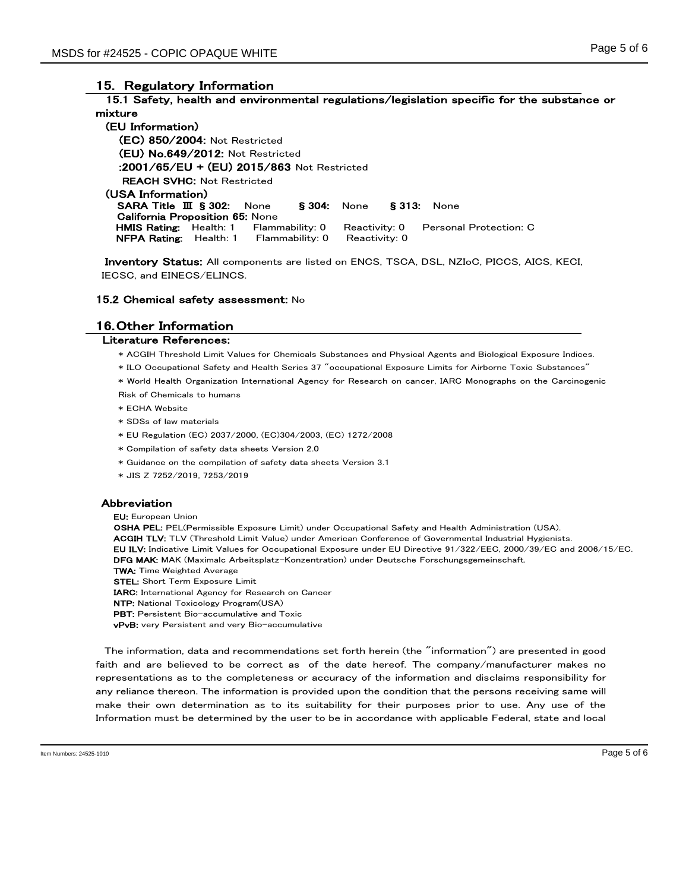## 15. Regulatory Information

#### 15.1 Safety, health and environmental regulations/legislation specific for the substance or mixture

(EU Information) (EC) 850/2004: Not Restricted (EU) No.649/2012: Not Restricted :2001/65/EU + (EU) 2015/863 Not Restricted REACH SVHC: Not Restricted (USA Information) SARA Title Ⅲ § 302: None § 304: None § 313: None California Proposition 65: None HMIS Rating: Health: 1 Flammability: 0 Reactivity: 0 Personal Protection: C NFPA Rating: Health: 1 Flammability: 0 Reactivity: 0

Inventory Status: All components are listed on ENCS, TSCA, DSL, NZIoC, PICCS, AICS, KECI, IECSC, and EINECS/ELINCS.

#### 15.2 Chemical safety assessment: No

#### 16.Other Information

#### Literature References:

- \* ACGIH Threshold Limit Values for Chemicals Substances and Physical Agents and Biological Exposure Indices.
- \* ILO Occupational Safety and Health Series 37 "occupational Exposure Limits for Airborne Toxic Substances"
- \* World Health Organization International Agency for Research on cancer, IARC Monographs on the Carcinogenic Risk of Chemicals to humans
- \* ECHA Website
- \* SDSs of law materials
- \* EU Regulation (EC) 2037/2000, (EC)304/2003, (EC) 1272/2008
- \* Compilation of safety data sheets Version 2.0
- \* Guidance on the compilation of safety data sheets Version 3.1
- \* JIS Z 7252/2019, 7253/2019

#### Abbreviation

EU: European Union OSHA PEL: PEL(Permissible Exposure Limit) under Occupational Safety and Health Administration (USA). ACGIH TLV: TLV (Threshold Limit Value) under American Conference of Governmental Industrial Hygienists. EU ILV: Indicative Limit Values for Occupational Exposure under EU Directive 91/322/EEC, 2000/39/EC and 2006/15/EC. DFG MAK: MAK (Maximalc Arbeitsplatz-Konzentration) under Deutsche Forschungsgemeinschaft. TWA: Time Weighted Average STEL: Short Term Exposure Limit IARC: International Agency for Research on Cancer NTP: National Toxicology Program(USA)

- PBT: Persistent Bio-accumulative and Toxic
- vPvB: very Persistent and very Bio-accumulative

The information, data and recommendations set forth herein (the "information") are presented in good faith and are believed to be correct as of the date hereof. The company/manufacturer makes no representations as to the completeness or accuracy of the information and disclaims responsibility for any reliance thereon. The information is provided upon the condition that the persons receiving same will make their own determination as to its suitability for their purposes prior to use. Any use of the Information must be determined by the user to be in accordance with applicable Federal, state and local